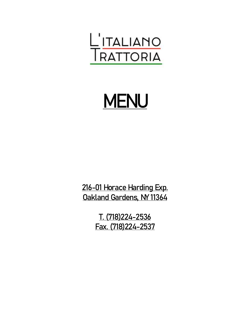

# MENU

216-01 Horace Harding Exp. Oakland Gardens, NY 11364

> T. (718)224-2536 Fax. (718)224-2537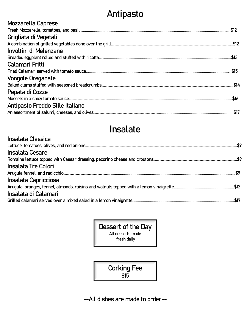## **Antipasto**

### **Insalate**

| Insalata Classica          |  |
|----------------------------|--|
|                            |  |
| Insalata Cesare            |  |
|                            |  |
| <b>Insalata Tre Colori</b> |  |
|                            |  |
| Insalata Capricciosa       |  |
|                            |  |
| Insalata di Calamari       |  |
|                            |  |

Dessert of the Day All desserts made fresh daily

> Corking Fee \$15

--All dishes are made to order--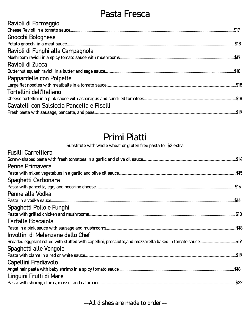### **Pasta Fresca**

| Ravioli di Formaggio                       |
|--------------------------------------------|
|                                            |
| Gnocchi Bolognese                          |
|                                            |
| Ravioli di Funghi alla Campagnola          |
|                                            |
| Ravioli di Zucca                           |
|                                            |
| Pappardelle con Polpette                   |
|                                            |
| Tortellini dell'Italiano                   |
|                                            |
| Cavatelli con Salsiccia Pancetta e Piselli |
|                                            |

### **Primi Piatti**

#### Substitute with whole wheat or gluten free pasta for \$2 extra

| <b>Fusilli Carrettiera</b>        |  |
|-----------------------------------|--|
|                                   |  |
| Penne Primavera                   |  |
|                                   |  |
| Spaghetti Carbonara               |  |
|                                   |  |
| Penne alla Vodka                  |  |
|                                   |  |
| Spaghetti Pollo e Funghi          |  |
|                                   |  |
| <b>Farfalle Boscaiola</b>         |  |
|                                   |  |
| Involtini di Melenzane dello Chef |  |
|                                   |  |
| Spaghetti alle Vongole            |  |
|                                   |  |
| Capellini Fradiavolo              |  |
|                                   |  |
| Linguini Frutti di Mare           |  |
|                                   |  |

--All dishes are made to order--